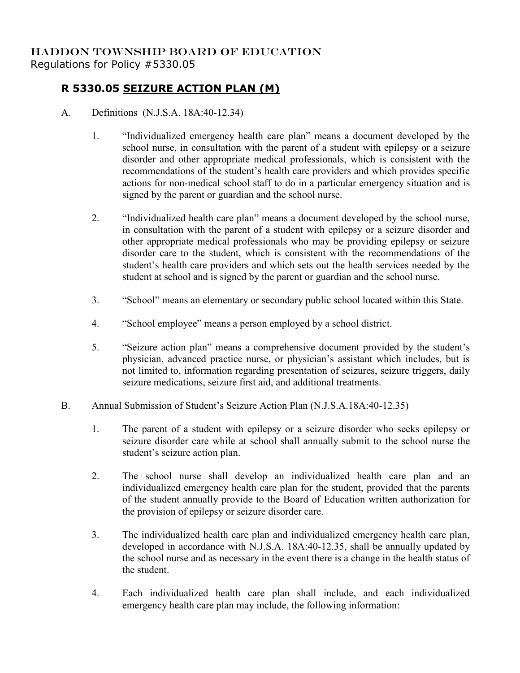## **R 5330.05 SEIZURE ACTION PLAN (M)**

- A. Definitions (N.J.S.A. 18A:40-12.34)
	- 1. "Individualized emergency health care plan" means a document developed by the school nurse, in consultation with the parent of a student with epilepsy or a seizure disorder and other appropriate medical professionals, which is consistent with the recommendations of the student's health care providers and which provides specific actions for non-medical school staff to do in a particular emergency situation and is signed by the parent or guardian and the school nurse.
	- 2. "Individualized health care plan" means a document developed by the school nurse, in consultation with the parent of a student with epilepsy or a seizure disorder and other appropriate medical professionals who may be providing epilepsy or seizure disorder care to the student, which is consistent with the recommendations of the student's health care providers and which sets out the health services needed by the student at school and is signed by the parent or guardian and the school nurse.
	- 3. "School" means an elementary or secondary public school located within this State.
	- 4. "School employee" means a person employed by a school district.
	- 5. "Seizure action plan" means a comprehensive document provided by the student's physician, advanced practice nurse, or physician's assistant which includes, but is not limited to, information regarding presentation of seizures, seizure triggers, daily seizure medications, seizure first aid, and additional treatments.
- B. Annual Submission of Student's Seizure Action Plan (N.J.S.A.18A:40-12.35)
	- 1. The parent of a student with epilepsy or a seizure disorder who seeks epilepsy or seizure disorder care while at school shall annually submit to the school nurse the student's seizure action plan.
	- 2. The school nurse shall develop an individualized health care plan and an individualized emergency health care plan for the student, provided that the parents of the student annually provide to the Board of Education written authorization for the provision of epilepsy or seizure disorder care.
	- 3. The individualized health care plan and individualized emergency health care plan, developed in accordance with N.J.S.A. 18A:40-12.35, shall be annually updated by the school nurse and as necessary in the event there is a change in the health status of the student.
	- 4. Each individualized health care plan shall include, and each individualized emergency health care plan may include, the following information: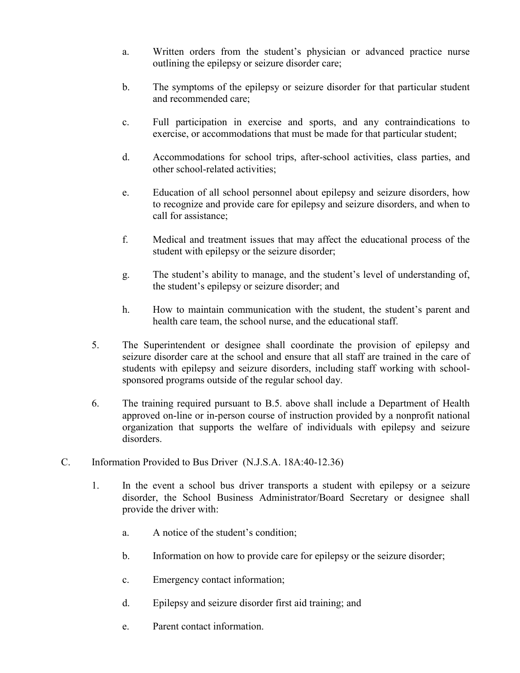- a. Written orders from the student's physician or advanced practice nurse outlining the epilepsy or seizure disorder care;
- b. The symptoms of the epilepsy or seizure disorder for that particular student and recommended care;
- c. Full participation in exercise and sports, and any contraindications to exercise, or accommodations that must be made for that particular student;
- d. Accommodations for school trips, after-school activities, class parties, and other school-related activities;
- e. Education of all school personnel about epilepsy and seizure disorders, how to recognize and provide care for epilepsy and seizure disorders, and when to call for assistance;
- f. Medical and treatment issues that may affect the educational process of the student with epilepsy or the seizure disorder;
- g. The student's ability to manage, and the student's level of understanding of, the student's epilepsy or seizure disorder; and
- h. How to maintain communication with the student, the student's parent and health care team, the school nurse, and the educational staff.
- 5. The Superintendent or designee shall coordinate the provision of epilepsy and seizure disorder care at the school and ensure that all staff are trained in the care of students with epilepsy and seizure disorders, including staff working with schoolsponsored programs outside of the regular school day.
- 6. The training required pursuant to B.5. above shall include a Department of Health approved on-line or in-person course of instruction provided by a nonprofit national organization that supports the welfare of individuals with epilepsy and seizure disorders.
- C. Information Provided to Bus Driver (N.J.S.A. 18A:40-12.36)
	- 1. In the event a school bus driver transports a student with epilepsy or a seizure disorder, the School Business Administrator/Board Secretary or designee shall provide the driver with:
		- a. A notice of the student's condition;
		- b. Information on how to provide care for epilepsy or the seizure disorder;
		- c. Emergency contact information;
		- d. Epilepsy and seizure disorder first aid training; and
		- e. Parent contact information.